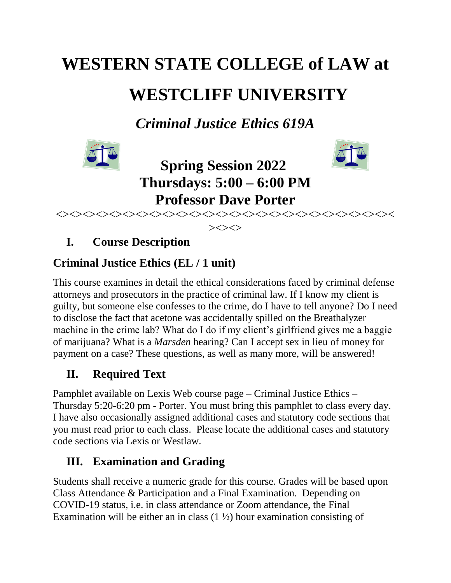# **WESTERN STATE COLLEGE of LAW at WESTCLIFF UNIVERSITY**

*Criminal Justice Ethics 619A*





**Spring Session 2022 Thursdays: 5:00 – 6:00 PM Professor Dave Porter**

<><><><><><><><><><><><><><><><><><><><><><><><><><  $>\!\!>\!\!>>\!\!>>$ 

# **I. Course Description**

## **Criminal Justice Ethics (EL / 1 unit)**

This course examines in detail the ethical considerations faced by criminal defense attorneys and prosecutors in the practice of criminal law. If I know my client is guilty, but someone else confesses to the crime, do I have to tell anyone? Do I need to disclose the fact that acetone was accidentally spilled on the Breathalyzer machine in the crime lab? What do I do if my client's girlfriend gives me a baggie of marijuana? What is a *Marsden* hearing? Can I accept sex in lieu of money for payment on a case? These questions, as well as many more, will be answered!

# **II. Required Text**

Pamphlet available on Lexis Web course page – Criminal Justice Ethics – Thursday 5:20-6:20 pm - Porter. You must bring this pamphlet to class every day. I have also occasionally assigned additional cases and statutory code sections that you must read prior to each class. Please locate the additional cases and statutory code sections via Lexis or Westlaw.

# **III. Examination and Grading**

Students shall receive a numeric grade for this course. Grades will be based upon Class Attendance & Participation and a Final Examination. Depending on COVID-19 status, i.e. in class attendance or Zoom attendance, the Final Examination will be either an in class  $(1 \frac{1}{2})$  hour examination consisting of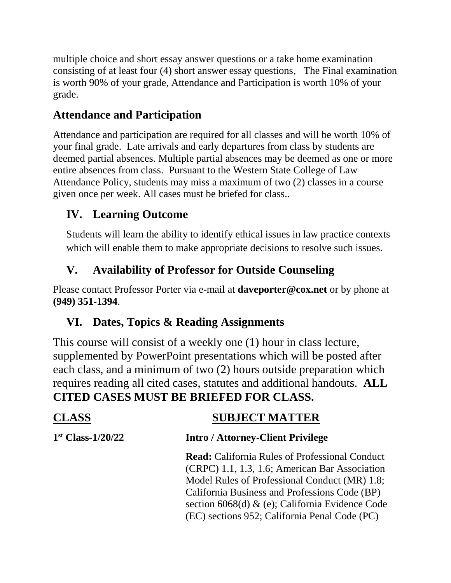multiple choice and short essay answer questions or a take home examination consisting of at least four (4) short answer essay questions, The Final examination is worth 90% of your grade, Attendance and Participation is worth 10% of your grade.

## **Attendance and Participation**

Attendance and participation are required for all classes and will be worth 10% of your final grade. Late arrivals and early departures from class by students are deemed partial absences. Multiple partial absences may be deemed as one or more entire absences from class. Pursuant to the Western State College of Law Attendance Policy, students may miss a maximum of two (2) classes in a course given once per week. All cases must be briefed for class..

## **IV. Learning Outcome**

Students will learn the ability to identify ethical issues in law practice contexts which will enable them to make appropriate decisions to resolve such issues.

## **V. Availability of Professor for Outside Counseling**

Please contact Professor Porter via e-mail at **daveporter@cox.net** or by phone at **(949) 351-1394**.

## **VI. Dates, Topics & Reading Assignments**

This course will consist of a weekly one (1) hour in class lecture, supplemented by PowerPoint presentations which will be posted after each class, and a minimum of two (2) hours outside preparation which requires reading all cited cases, statutes and additional handouts. **ALL CITED CASES MUST BE BRIEFED FOR CLASS.**

### **CLASS SUBJECT MATTER**  $1<sup>st</sup> Class-1/20/22$ **Intro / Attorney-Client Privilege Read:** California Rules of Professional Conduct (CRPC) 1.1, 1.3, 1.6; American Bar Association Model Rules of Professional Conduct (MR) 1.8; California Business and Professions Code (BP) section 6068(d) & (e); California Evidence Code (EC) sections 952; California Penal Code (PC)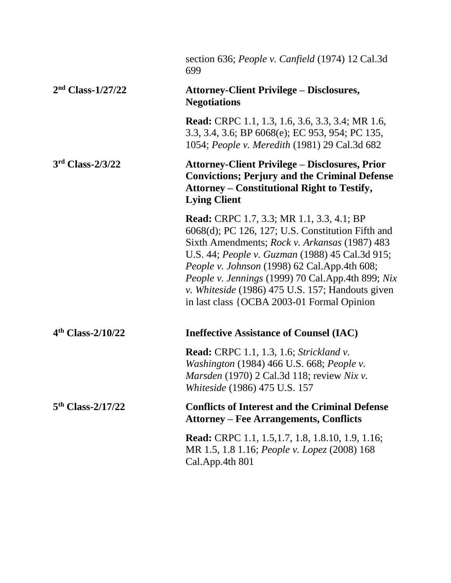|                     | section 636; <i>People v. Canfield</i> (1974) 12 Cal.3d<br>699                                                                                                                                                                                                                                                                                                                                                   |
|---------------------|------------------------------------------------------------------------------------------------------------------------------------------------------------------------------------------------------------------------------------------------------------------------------------------------------------------------------------------------------------------------------------------------------------------|
| $2nd Class-1/27/22$ | <b>Attorney-Client Privilege - Disclosures,</b><br><b>Negotiations</b>                                                                                                                                                                                                                                                                                                                                           |
|                     | Read: CRPC 1.1, 1.3, 1.6, 3.6, 3.3, 3.4; MR 1.6,<br>3.3, 3.4, 3.6; BP 6068(e); EC 953, 954; PC 135,<br>1054; People v. Meredith (1981) 29 Cal.3d 682                                                                                                                                                                                                                                                             |
| $3rd$ Class-2/3/22  | <b>Attorney-Client Privilege – Disclosures, Prior</b><br><b>Convictions; Perjury and the Criminal Defense</b><br><b>Attorney – Constitutional Right to Testify,</b><br><b>Lying Client</b>                                                                                                                                                                                                                       |
|                     | <b>Read:</b> CRPC 1.7, 3.3; MR 1.1, 3.3, 4.1; BP<br>6068(d); PC 126, 127; U.S. Constitution Fifth and<br>Sixth Amendments; Rock v. Arkansas (1987) 483<br>U.S. 44; People v. Guzman (1988) 45 Cal.3d 915;<br>People v. Johnson (1998) 62 Cal.App.4th 608;<br>People v. Jennings (1999) 70 Cal.App.4th 899; Nix<br>v. Whiteside (1986) 475 U.S. 157; Handouts given<br>in last class {OCBA 2003-01 Formal Opinion |
| $4th$ Class-2/10/22 | <b>Ineffective Assistance of Counsel (IAC)</b>                                                                                                                                                                                                                                                                                                                                                                   |
|                     | Read: CRPC 1.1, 1.3, 1.6; Strickland v.<br>Washington (1984) 466 U.S. 668; People v.<br>Marsden (1970) 2 Cal.3d 118; review Nix v.<br><i>Whiteside</i> (1986) 475 U.S. 157                                                                                                                                                                                                                                       |
| $5th$ Class-2/17/22 | <b>Conflicts of Interest and the Criminal Defense</b><br><b>Attorney – Fee Arrangements, Conflicts</b>                                                                                                                                                                                                                                                                                                           |
|                     | <b>Read:</b> CRPC 1.1, 1.5, 1.7, 1.8, 1.8. 10, 1.9, 1.16;<br>MR 1.5, 1.8 1.16; People v. Lopez (2008) 168<br>Cal.App.4th 801                                                                                                                                                                                                                                                                                     |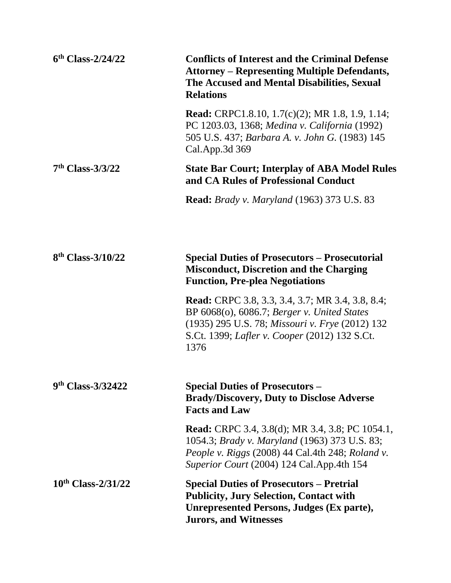| $6th Class-2/24/22$        | <b>Conflicts of Interest and the Criminal Defense</b><br><b>Attorney – Representing Multiple Defendants,</b><br>The Accused and Mental Disabilities, Sexual<br><b>Relations</b>                                    |
|----------------------------|--------------------------------------------------------------------------------------------------------------------------------------------------------------------------------------------------------------------|
|                            | <b>Read:</b> CRPC1.8.10, 1.7(c)(2); MR 1.8, 1.9, 1.14;<br>PC 1203.03, 1368; Medina v. California (1992)<br>505 U.S. 437; Barbara A. v. John G. (1983) 145<br>Cal.App.3d 369                                        |
| $7th Class-3/3/22$         | <b>State Bar Court; Interplay of ABA Model Rules</b><br>and CA Rules of Professional Conduct                                                                                                                       |
|                            | <b>Read:</b> Brady v. Maryland (1963) 373 U.S. 83                                                                                                                                                                  |
|                            |                                                                                                                                                                                                                    |
| $8th$ Class-3/10/22        | <b>Special Duties of Prosecutors – Prosecutorial</b><br><b>Misconduct, Discretion and the Charging</b><br><b>Function, Pre-plea Negotiations</b>                                                                   |
|                            | <b>Read:</b> CRPC 3.8, 3.3, 3.4, 3.7; MR 3.4, 3.8, 8.4;<br>BP 6068(o), 6086.7; Berger v. United States<br>(1935) 295 U.S. 78; Missouri v. Frye (2012) 132<br>S.Ct. 1399; Lafler v. Cooper (2012) 132 S.Ct.<br>1376 |
| 9th Class-3/32422          | <b>Special Duties of Prosecutors -</b><br><b>Brady/Discovery, Duty to Disclose Adverse</b><br><b>Facts and Law</b>                                                                                                 |
|                            | <b>Read:</b> CRPC 3.4, 3.8(d); MR 3.4, 3.8; PC 1054.1,<br>1054.3; Brady v. Maryland (1963) 373 U.S. 83;<br>People v. Riggs (2008) 44 Cal.4th 248; Roland v.<br>Superior Court (2004) 124 Cal. App. 4th 154         |
| $10^{th}$ Class- $2/31/22$ | <b>Special Duties of Prosecutors – Pretrial</b><br><b>Publicity, Jury Selection, Contact with</b><br><b>Unrepresented Persons, Judges (Ex parte),</b><br><b>Jurors, and Witnesses</b>                              |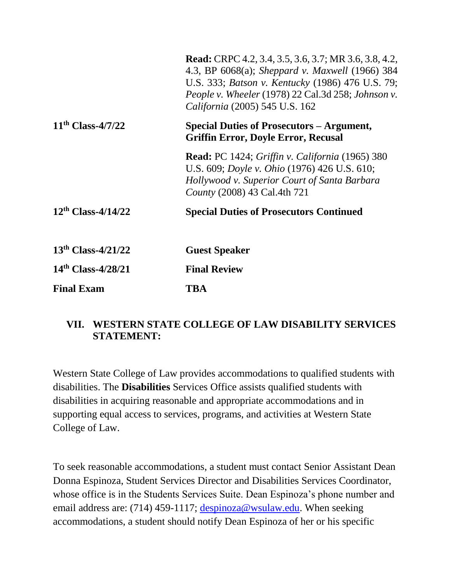|                         | <b>Read:</b> CRPC 4.2, 3.4, 3.5, 3.6, 3.7; MR 3.6, 3.8, 4.2,<br>4.3, BP 6068(a); Sheppard v. Maxwell (1966) 384<br>U.S. 333; <i>Batson v. Kentucky</i> (1986) 476 U.S. 79;<br>People v. Wheeler (1978) 22 Cal.3d 258; Johnson v.<br><i>California</i> (2005) 545 U.S. 162 |
|-------------------------|---------------------------------------------------------------------------------------------------------------------------------------------------------------------------------------------------------------------------------------------------------------------------|
| $11th Class-4/7/22$     | Special Duties of Prosecutors – Argument,<br><b>Griffin Error, Doyle Error, Recusal</b>                                                                                                                                                                                   |
|                         | <b>Read:</b> PC 1424; Griffin v. California (1965) 380<br>U.S. 609; <i>Doyle v. Ohio</i> (1976) 426 U.S. 610;<br>Hollywood v. Superior Court of Santa Barbara<br>County (2008) 43 Cal.4th 721                                                                             |
| $12^{th}$ Class-4/14/22 | <b>Special Duties of Prosecutors Continued</b>                                                                                                                                                                                                                            |
| $13th Class-4/21/22$    | <b>Guest Speaker</b>                                                                                                                                                                                                                                                      |
| $14th Class-4/28/21$    | <b>Final Review</b>                                                                                                                                                                                                                                                       |
| <b>Final Exam</b>       | TBA                                                                                                                                                                                                                                                                       |

#### **VII. WESTERN STATE COLLEGE OF LAW DISABILITY SERVICES STATEMENT:**

Western State College of Law provides accommodations to qualified students with disabilities. The **Disabilities** Services Office assists qualified students with disabilities in acquiring reasonable and appropriate accommodations and in supporting equal access to services, programs, and activities at Western State College of Law.

To seek reasonable accommodations, a student must contact Senior Assistant Dean Donna Espinoza, Student Services Director and Disabilities Services Coordinator, whose office is in the Students Services Suite. Dean Espinoza's phone number and email address are: (714) 459-1117; [despinoza@wsulaw.edu.](https://email.edmc.edu/OWA/redir.aspx?C=yQra1LQWr0mUS2kXua3NKtkJJnwxadJIBEddnuOHJAr-f5YyX5Wzvx1cEaAFaHZRMWU1iUiov-4.&URL=mailto%3adespinoza%40wsulaw.edu) When seeking accommodations, a student should notify Dean Espinoza of her or his specific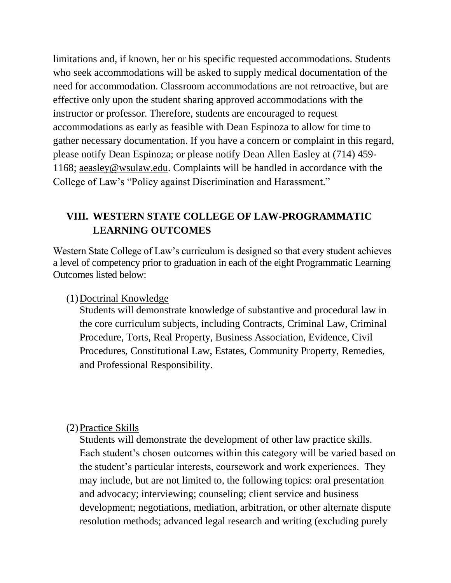limitations and, if known, her or his specific requested accommodations. Students who seek accommodations will be asked to supply medical documentation of the need for accommodation. Classroom accommodations are not retroactive, but are effective only upon the student sharing approved accommodations with the instructor or professor. Therefore, students are encouraged to request accommodations as early as feasible with Dean Espinoza to allow for time to gather necessary documentation. If you have a concern or complaint in this regard, please notify Dean Espinoza; or please notify Dean Allen Easley at (714) 459- 1168; aeasley@wsulaw.edu. Complaints will be handled in accordance with the College of Law's "Policy against Discrimination and Harassment."

## **VIII. WESTERN STATE COLLEGE OF LAW-PROGRAMMATIC LEARNING OUTCOMES**

Western State College of Law's curriculum is designed so that every student achieves a level of competency prior to graduation in each of the eight Programmatic Learning Outcomes listed below:

#### (1)Doctrinal Knowledge

Students will demonstrate knowledge of substantive and procedural law in the core curriculum subjects, including Contracts, Criminal Law, Criminal Procedure, Torts, Real Property, Business Association, Evidence, Civil Procedures, Constitutional Law, Estates, Community Property, Remedies, and Professional Responsibility.

#### (2)Practice Skills

Students will demonstrate the development of other law practice skills. Each student's chosen outcomes within this category will be varied based on the student's particular interests, coursework and work experiences. They may include, but are not limited to, the following topics: oral presentation and advocacy; interviewing; counseling; client service and business development; negotiations, mediation, arbitration, or other alternate dispute resolution methods; advanced legal research and writing (excluding purely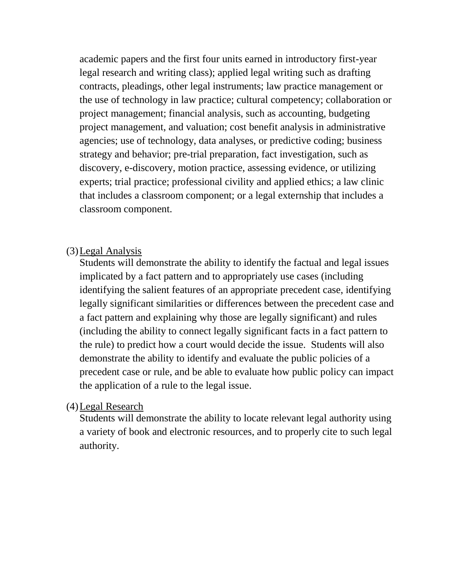academic papers and the first four units earned in introductory first-year legal research and writing class); applied legal writing such as drafting contracts, pleadings, other legal instruments; law practice management or the use of technology in law practice; cultural competency; collaboration or project management; financial analysis, such as accounting, budgeting project management, and valuation; cost benefit analysis in administrative agencies; use of technology, data analyses, or predictive coding; business strategy and behavior; pre-trial preparation, fact investigation, such as discovery, e-discovery, motion practice, assessing evidence, or utilizing experts; trial practice; professional civility and applied ethics; a law clinic that includes a classroom component; or a legal externship that includes a classroom component.

#### (3)Legal Analysis

Students will demonstrate the ability to identify the factual and legal issues implicated by a fact pattern and to appropriately use cases (including identifying the salient features of an appropriate precedent case, identifying legally significant similarities or differences between the precedent case and a fact pattern and explaining why those are legally significant) and rules (including the ability to connect legally significant facts in a fact pattern to the rule) to predict how a court would decide the issue. Students will also demonstrate the ability to identify and evaluate the public policies of a precedent case or rule, and be able to evaluate how public policy can impact the application of a rule to the legal issue.

#### (4)Legal Research

Students will demonstrate the ability to locate relevant legal authority using a variety of book and electronic resources, and to properly cite to such legal authority.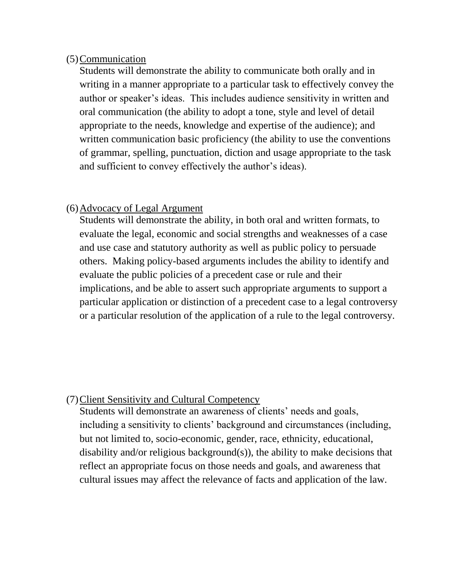#### (5)Communication

Students will demonstrate the ability to communicate both orally and in writing in a manner appropriate to a particular task to effectively convey the author or speaker's ideas. This includes audience sensitivity in written and oral communication (the ability to adopt a tone, style and level of detail appropriate to the needs, knowledge and expertise of the audience); and written communication basic proficiency (the ability to use the conventions of grammar, spelling, punctuation, diction and usage appropriate to the task and sufficient to convey effectively the author's ideas).

#### (6)Advocacy of Legal Argument

Students will demonstrate the ability, in both oral and written formats, to evaluate the legal, economic and social strengths and weaknesses of a case and use case and statutory authority as well as public policy to persuade others. Making policy-based arguments includes the ability to identify and evaluate the public policies of a precedent case or rule and their implications, and be able to assert such appropriate arguments to support a particular application or distinction of a precedent case to a legal controversy or a particular resolution of the application of a rule to the legal controversy.

#### (7)Client Sensitivity and Cultural Competency

Students will demonstrate an awareness of clients' needs and goals, including a sensitivity to clients' background and circumstances (including, but not limited to, socio-economic, gender, race, ethnicity, educational, disability and/or religious background(s)), the ability to make decisions that reflect an appropriate focus on those needs and goals, and awareness that cultural issues may affect the relevance of facts and application of the law.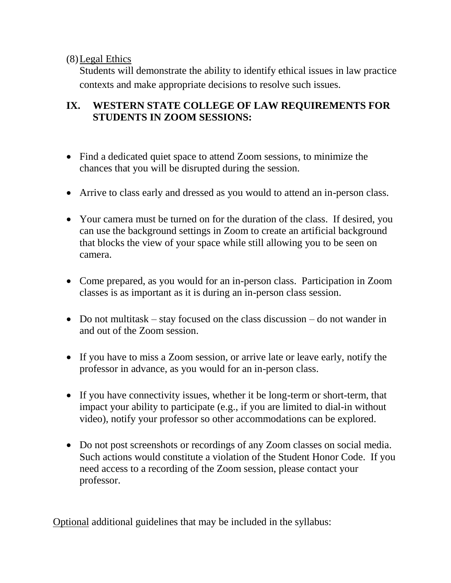(8)Legal Ethics

Students will demonstrate the ability to identify ethical issues in law practice contexts and make appropriate decisions to resolve such issues.

## **IX. WESTERN STATE COLLEGE OF LAW REQUIREMENTS FOR STUDENTS IN ZOOM SESSIONS:**

- Find a dedicated quiet space to attend Zoom sessions, to minimize the chances that you will be disrupted during the session.
- Arrive to class early and dressed as you would to attend an in-person class.
- Your camera must be turned on for the duration of the class. If desired, you can use the background settings in Zoom to create an artificial background that blocks the view of your space while still allowing you to be seen on camera.
- Come prepared, as you would for an in-person class. Participation in Zoom classes is as important as it is during an in-person class session.
- Do not multitask stay focused on the class discussion do not wander in and out of the Zoom session.
- If you have to miss a Zoom session, or arrive late or leave early, notify the professor in advance, as you would for an in-person class.
- If you have connectivity issues, whether it be long-term or short-term, that impact your ability to participate (e.g., if you are limited to dial-in without video), notify your professor so other accommodations can be explored.
- Do not post screenshots or recordings of any Zoom classes on social media. Such actions would constitute a violation of the Student Honor Code. If you need access to a recording of the Zoom session, please contact your professor.

Optional additional guidelines that may be included in the syllabus: